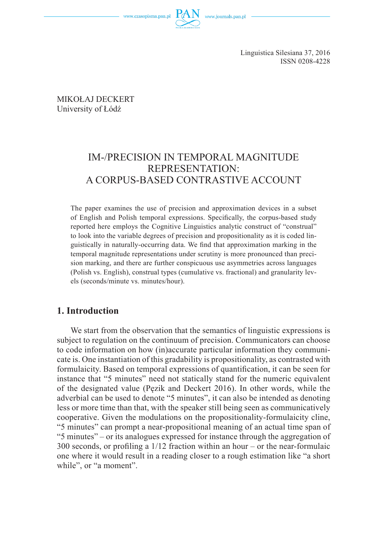www.czasopisma.pan.pl



Linguistica Silesiana 37, 2016 ISSN 0208-4228

MIKOŁAJ DECKERT University of Łódź

# IM-/PRECISION IN TEMPORAL MAGNITUDE REPRESENTATION: A CORPUS-BASED CONTRASTIVE ACCOUNT

The paper examines the use of precision and approximation devices in a subset of English and Polish temporal expressions. Specifically, the corpus-based study reported here employs the Cognitive Linguistics analytic construct of "construal" to look into the variable degrees of precision and propositionality as it is coded linguistically in naturally-occurring data. We find that approximation marking in the temporal magnitude representations under scrutiny is more pronounced than precision marking, and there are further conspicuous use asymmetries across languages (Polish vs. English), construal types (cumulative vs. fractional) and granularity levels (seconds/minute vs. minutes/hour).

## **1. Introduction**

We start from the observation that the semantics of linguistic expressions is subject to regulation on the continuum of precision. Communicators can choose to code information on how (in)accurate particular information they communicate is. One instantiation of this gradability is propositionality, as contrasted with formulaicity. Based on temporal expressions of quantification, it can be seen for instance that "5 minutes" need not statically stand for the numeric equivalent of the designated value (Pęzik and Deckert 2016). In other words, while the adverbial can be used to denote "5 minutes", it can also be intended as denoting less or more time than that, with the speaker still being seen as communicatively cooperative. Given the modulations on the propositionality-formulaicity cline, "5 minutes" can prompt a near-propositional meaning of an actual time span of "5 minutes" – or its analogues expressed for instance through the aggregation of 300 seconds, or profiling a  $1/12$  fraction within an hour – or the near-formulaic one where it would result in a reading closer to a rough estimation like "a short while", or "a moment".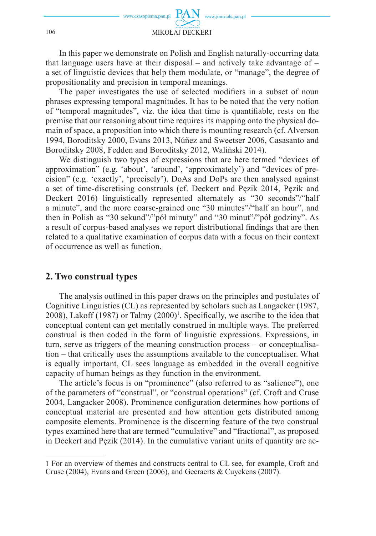In this paper we demonstrate on Polish and English naturally-occurring data that language users have at their disposal – and actively take advantage of – a set of linguistic devices that help them modulate, or "manage", the degree of propositionality and precision in temporal meanings.

The paper investigates the use of selected modifiers in a subset of noun phrases expressing temporal magnitudes. It has to be noted that the very notion of "temporal magnitudes", viz. the idea that time is quantifiable, rests on the premise that our reasoning about time requires its mapping onto the physical domain of space, a proposition into which there is mounting research (cf. Alverson 1994, Boroditsky 2000, Evans 2013, Núñez and Sweetser 2006, Casasanto and Boroditsky 2008, Fedden and Boroditsky 2012, Waliński 2014).

We distinguish two types of expressions that are here termed "devices of approximation" (e.g. 'about', 'around', 'approximately') and "devices of precision" (e.g. 'exactly', 'precisely'). DoAs and DoPs are then analysed against a set of time-discretising construals (cf. Deckert and Pęzik 2014, Pęzik and Deckert 2016) linguistically represented alternately as "30 seconds"/"half a minute", and the more coarse-grained one "30 minutes"/"half an hour", and then in Polish as "30 sekund"/"pół minuty" and "30 minut"/"pół godziny". As a result of corpus-based analyses we report distributional findings that are then related to a qualitative examination of corpus data with a focus on their context of occurrence as well as function.

## **2. Two construal types**

The analysis outlined in this paper draws on the principles and postulates of Cognitive Linguistics (CL) as represented by scholars such as Langacker (1987, 2008), Lakoff (1987) or Talmy  $(2000)^1$ . Specifically, we ascribe to the idea that conceptual content can get mentally construed in multiple ways. The preferred construal is then coded in the form of linguistic expressions. Expressions, in turn, serve as triggers of the meaning construction process – or conceptualisation – that critically uses the assumptions available to the conceptualiser. What is equally important, CL sees language as embedded in the overall cognitive capacity of human beings as they function in the environment.

The article's focus is on "prominence" (also referred to as "salience"), one of the parameters of "construal", or "construal operations" (cf. Croft and Cruse 2004, Langacker 2008). Prominence configuration determines how portions of conceptual material are presented and how attention gets distributed among composite elements. Prominence is the discerning feature of the two construal types examined here that are termed "cumulative" and "fractional", as proposed in Deckert and Pęzik (2014). In the cumulative variant units of quantity are ac-

<sup>1</sup>For an overview of themes and constructs central to CL see, for example, Croft and Cruse (2004), Evans and Green (2006), and Geeraerts & Cuyckens (2007).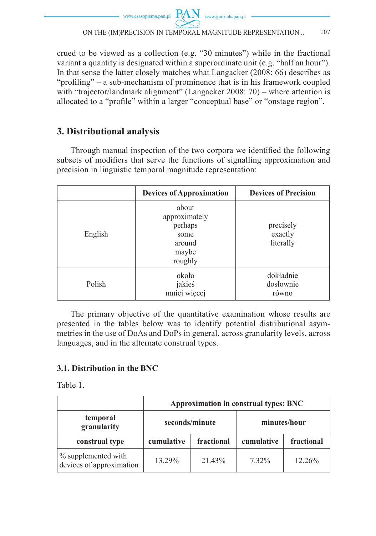

crued to be viewed as a collection (e.g. "30 minutes") while in the fractional variant a quantity is designated within a superordinate unit (e.g. "half an hour"). In that sense the latter closely matches what Langacker (2008: 66) describes as "profiling" – a sub-mechanism of prominence that is in his framework coupled with "trajector/landmark alignment" (Langacker 2008: 70) – where attention is allocated to a "profile" within a larger "conceptual base" or "onstage region".

# **3. Distributional analysis**

Through manual inspection of the two corpora we identified the following subsets of modifiers that serve the functions of signalling approximation and precision in linguistic temporal magnitude representation:

|         | <b>Devices of Approximation</b>                                         | <b>Devices of Precision</b>       |
|---------|-------------------------------------------------------------------------|-----------------------------------|
| English | about<br>approximately<br>perhaps<br>some<br>around<br>maybe<br>roughly | precisely<br>exactly<br>literally |
| Polish  | około<br>jakieś<br>mniej więcej                                         | dokładnie<br>dosłownie<br>równo   |

The primary objective of the quantitative examination whose results are presented in the tables below was to identify potential distributional asymmetries in the use of DoAs and DoPs in general, across granularity levels, across languages, and in the alternate construal types.

## **3.1. Distribution in the BNC**

Table 1.

|                                                 | Approximation in construal types: BNC |        |              |            |
|-------------------------------------------------|---------------------------------------|--------|--------------|------------|
| temporal<br>granularity                         | seconds/minute                        |        | minutes/hour |            |
| construal type                                  | fractional<br>cumulative              |        | cumulative   | fractional |
| % supplemented with<br>devices of approximation | 13 29%                                | 21 43% | $7.32\%$     | 12.26%     |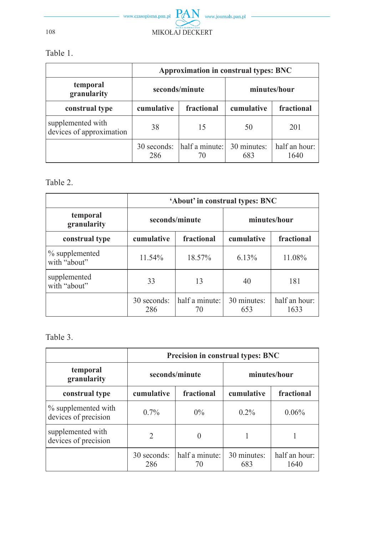

Table 1.

|                                               | Approximation in construal types: BNC |                      |                    |                       |  |
|-----------------------------------------------|---------------------------------------|----------------------|--------------------|-----------------------|--|
| temporal<br>granularity                       | seconds/minute                        |                      | minutes/hour       |                       |  |
| construal type                                | fractional<br>cumulative              |                      | cumulative         | fractional            |  |
| supplemented with<br>devices of approximation | 38                                    | 15                   | 50                 | 201                   |  |
|                                               | 30 seconds:<br>286                    | half a minute:<br>70 | 30 minutes:<br>683 | half an hour:<br>1640 |  |

## Table 2.

|                                | 'About' in construal types: BNC |                      |                    |                       |
|--------------------------------|---------------------------------|----------------------|--------------------|-----------------------|
| temporal<br>granularity        | seconds/minute                  |                      | minutes/hour       |                       |
| construal type                 | cumulative<br>fractional        |                      | cumulative         | fractional            |
| % supplemented<br>with "about" | $11.54\%$                       | 18.57%               | 6.13%              | 11.08%                |
| supplemented<br>with "about"   | 33                              | 13                   | 40                 | 181                   |
|                                | 30 seconds:<br>286              | half a minute:<br>70 | 30 minutes:<br>653 | half an hour:<br>1633 |

# Table 3.

|                                             | <b>Precision in construal types: BNC</b>   |          |                    |                       |
|---------------------------------------------|--------------------------------------------|----------|--------------------|-----------------------|
| temporal<br>granularity                     | seconds/minute                             |          |                    | minutes/hour          |
| construal type                              | cumulative<br>fractional                   |          | cumulative         | fractional            |
| % supplemented with<br>devices of precision | $0.7\%$                                    | $0\%$    | $0.2\%$            | 0.06%                 |
| supplemented with<br>devices of precision   | $\mathfrak{D}$                             | $\theta$ |                    |                       |
|                                             | half a minute:<br>30 seconds:<br>286<br>70 |          | 30 minutes:<br>683 | half an hour:<br>1640 |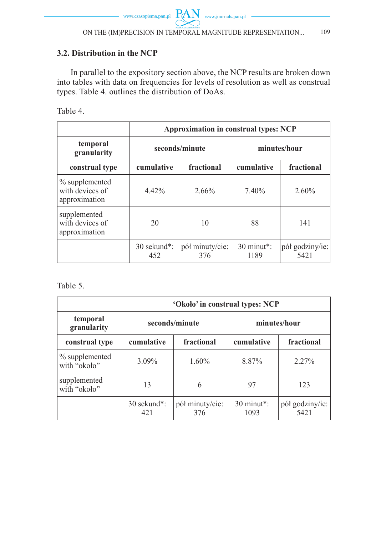## **3.2. Distribution in the NCP**

In parallel to the expository section above, the NCP results are broken down into tables with data on frequencies for levels of resolution as well as construal types. Table 4. outlines the distribution of DoAs.

Table 4.

|                                                    | <b>Approximation in construal types: NCP</b> |                        |                      |                         |
|----------------------------------------------------|----------------------------------------------|------------------------|----------------------|-------------------------|
| temporal<br>granularity                            | seconds/minute                               |                        | minutes/hour         |                         |
| construal type                                     | cumulative<br>fractional                     |                        | cumulative           | fractional              |
| % supplemented<br>with devices of<br>approximation | $4.42\%$                                     | 2.66%                  | 7.40%                | $2.60\%$                |
| supplemented<br>with devices of<br>approximation   | 20                                           | 10                     | 88                   | 141                     |
|                                                    | 30 sekund*:<br>452                           | pół minuty/cie:<br>376 | $30$ minut*:<br>1189 | pół godziny/ie:<br>5421 |

Table 5.

|                                | 'Około' in construal types: NCP |                        |                      |                         |
|--------------------------------|---------------------------------|------------------------|----------------------|-------------------------|
| temporal<br>granularity        | seconds/minute                  |                        |                      | minutes/hour            |
| construal type                 | fractional<br>cumulative        |                        | cumulative           | fractional              |
| % supplemented<br>with "około" | $3.09\%$                        | $1.60\%$               | 8.87%                | $2.27\%$                |
| supplemented<br>with "około"   | 13                              | 6                      | 97                   | 123                     |
|                                | 30 sekund*:<br>421              | pół minuty/cie:<br>376 | $30$ minut*:<br>1093 | pół godziny/ie:<br>5421 |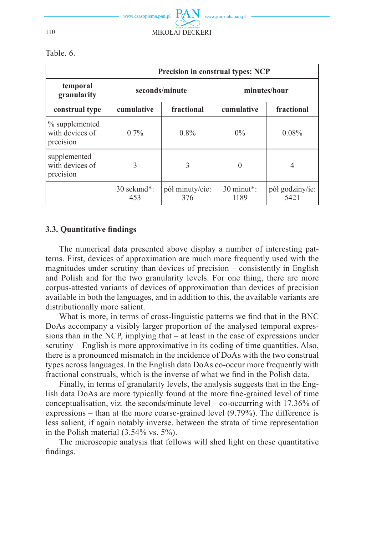

|                                                | <b>Precision in construal types: NCP</b> |                        |                      |                         |
|------------------------------------------------|------------------------------------------|------------------------|----------------------|-------------------------|
| temporal<br>granularity                        | seconds/minute                           |                        | minutes/hour         |                         |
| construal type                                 | cumulative<br>fractional                 |                        | cumulative           | fractional              |
| % supplemented<br>with devices of<br>precision | $0.7\%$                                  | $0.8\%$                | $0\%$                | $0.08\%$                |
| supplemented<br>with devices of<br>precision   | 3                                        | 3                      | 0                    | 4                       |
|                                                | $30$ sekund <sup>*</sup> :<br>453        | pół minuty/cie:<br>376 | $30$ minut*:<br>1189 | pół godziny/ie:<br>5421 |

Table. 6.

### **3.3. Quantitative findings**

The numerical data presented above display a number of interesting patterns. First, devices of approximation are much more frequently used with the magnitudes under scrutiny than devices of precision – consistently in English and Polish and for the two granularity levels. For one thing, there are more corpus-attested variants of devices of approximation than devices of precision available in both the languages, and in addition to this, the available variants are distributionally more salient.

What is more, in terms of cross-linguistic patterns we find that in the BNC DoAs accompany a visibly larger proportion of the analysed temporal expressions than in the NCP, implying that – at least in the case of expressions under scrutiny – English is more approximative in its coding of time quantities. Also, there is a pronounced mismatch in the incidence of DoAs with the two construal types across languages. In the English data DoAs co-occur more frequently with fractional construals, which is the inverse of what we find in the Polish data.

Finally, in terms of granularity levels, the analysis suggests that in the English data DoAs are more typically found at the more fine-grained level of time conceptualisation, viz. the seconds/minute level – co-occurring with 17.36% of expressions – than at the more coarse-grained level (9.79%). The difference is less salient, if again notably inverse, between the strata of time representation in the Polish material (3.54% vs. 5%).

The microscopic analysis that follows will shed light on these quantitative findings.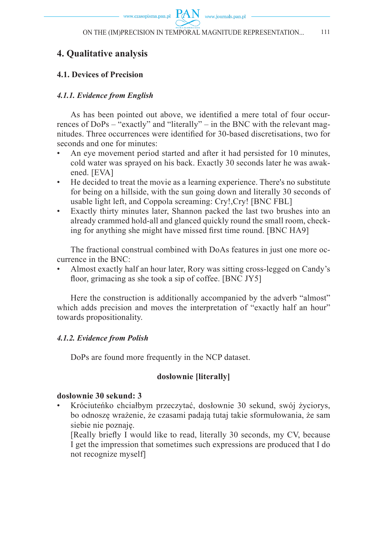www.czasopisma.pan.pl  $PAN$  www.journals.pan.pl

## **4. Qualitative analysis**

## **4.1. Devices of Precision**

### *4.1.1. Evidence from English*

As has been pointed out above, we identified a mere total of four occurrences of DoPs – "exactly" and "literally" – in the BNC with the relevant magnitudes. Three occurrences were identified for 30-based discretisations, two for seconds and one for minutes:

- An eve movement period started and after it had persisted for 10 minutes, cold water was sprayed on his back. Exactly 30 seconds later he was awakened. [EVA]
- He decided to treat the movie as a learning experience. There's no substitute for being on a hillside, with the sun going down and literally 30 seconds of usable light left, and Coppola screaming: Cry!,Cry! [BNC FBL]
- Exactly thirty minutes later, Shannon packed the last two brushes into an already crammed hold-all and glanced quickly round the small room, checking for anything she might have missed first time round. [BNC HA9]

The fractional construal combined with DoAs features in just one more occurrence in the BNC:

• Almost exactly half an hour later, Rory was sitting cross-legged on Candy's floor, grimacing as she took a sip of coffee. [BNC JY5]

Here the construction is additionally accompanied by the adverb "almost" which adds precision and moves the interpretation of "exactly half an hour" towards propositionality.

### *4.1.2. Evidence from Polish*

DoPs are found more frequently in the NCP dataset.

### **dosłownie [literally]**

### **dosłownie 30 sekund: 3**

• Króciuteńko chciałbym przeczytać, dosłownie 30 sekund, swój życiorys, bo odnoszę wrażenie, że czasami padają tutaj takie sformułowania, że sam siebie nie poznaję.

[Really briefly I would like to read, literally 30 seconds, my CV, because I get the impression that sometimes such expressions are produced that I do not recognize myself]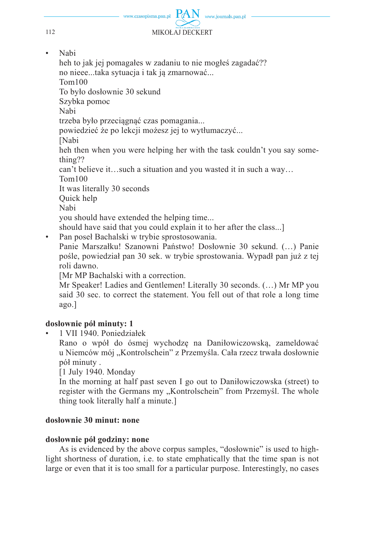

• Nabi

heh to jak jej pomagałes w zadaniu to nie mogłeś zagadać?? no nieee...taka sytuacja i tak ją zmarnować... Tom100 To było dosłownie 30 sekund Szybka pomoc Nabi trzeba było przeciągnąć czas pomagania... powiedzieć że po lekcji możesz jej to wytłumaczyć... [Nabi heh then when you were helping her with the task couldn't you say something?? can't believe it…such a situation and you wasted it in such a way… Tom100 It was literally 30 seconds Quick help

Nabi

you should have extended the helping time...

should have said that you could explain it to her after the class...]

• Pan poseł Bachalski w trybie sprostosowania.

 Panie Marszałku! Szanowni Państwo! Dosłownie 30 sekund. (…) Panie pośle, powiedział pan 30 sek. w trybie sprostowania. Wypadł pan już z tej roli dawno.

[Mr MP Bachalski with a correction.

 Mr Speaker! Ladies and Gentlemen! Literally 30 seconds. (…) Mr MP you said 30 sec. to correct the statement. You fell out of that role a long time ago.]

## **dosłownie pół minuty: 1**

• 1 VII 1940. Poniedziałek

 Rano o wpół do ósmej wychodzę na Daniłowiczowską, zameldować u Niemców mój "Kontrolschein" z Przemyśla. Cała rzecz trwała dosłownie pół minuty .

[1 July 1940. Monday

 In the morning at half past seven I go out to Daniłowiczowska (street) to register with the Germans my "Kontrolschein" from Przemyśl. The whole thing took literally half a minute.]

## **dosłownie 30 minut: none**

## **dosłownie pół godziny: none**

As is evidenced by the above corpus samples, "dosłownie" is used to highlight shortness of duration, i.e. to state emphatically that the time span is not large or even that it is too small for a particular purpose. Interestingly, no cases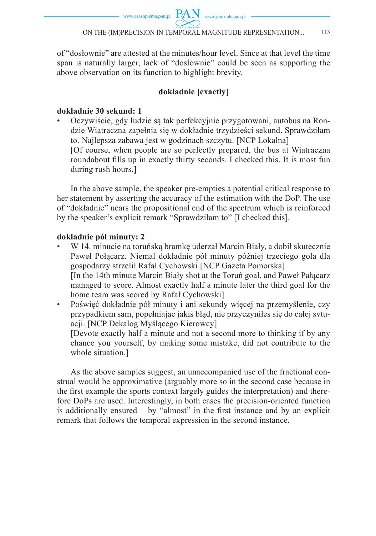of "dosłownie" are attested at the minutes/hour level. Since at that level the time span is naturally larger, lack of "dosłownie" could be seen as supporting the above observation on its function to highlight brevity.

## **dokładnie [exactly]**

## **dokładnie 30 sekund: 1**

• Oczywiście, gdy ludzie są tak perfekcyjnie przygotowani, autobus na Rondzie Wiatraczna zapełnia się w dokładnie trzydzieści sekund. Sprawdziłam to. Najlepsza zabawa jest w godzinach szczytu. [NCP Lokalna] [Of course, when people are so perfectly prepared, the bus at Wiatraczna roundabout fills up in exactly thirty seconds. I checked this. It is most fun during rush hours.]

In the above sample, the speaker pre-empties a potential critical response to her statement by asserting the accuracy of the estimation with the DoP. The use of "dokładnie" nears the propositional end of the spectrum which is reinforced by the speaker's explicit remark "Sprawdziłam to" [I checked this].

## **dokładnie pół minuty: 2**

• W 14. minucie na toruńską bramkę uderzał Marcin Biały, a dobił skutecznie Paweł Połącarz. Niemal dokładnie pół minuty później trzeciego gola dla gospodarzy strzelił Rafał Cychowski [NCP Gazeta Pomorska] [In the 14th minute Marcin Biały shot at the Toruń goal, and Paweł Pałącarz managed to score. Almost exactly half a minute later the third goal for the home team was scored by Rafał Cychowski]

• Poświęć dokładnie pół minuty i ani sekundy więcej na przemyślenie, czy przypadkiem sam, popełniając jakiś błąd, nie przyczyniłeś się do całej sytuacji. [NCP Dekalog Myślącego Kierowcy]

 [Devote exactly half a minute and not a second more to thinking if by any chance you yourself, by making some mistake, did not contribute to the whole situation.]

As the above samples suggest, an unaccompanied use of the fractional construal would be approximative (arguably more so in the second case because in the first example the sports context largely guides the interpretation) and therefore DoPs are used. Interestingly, in both cases the precision-oriented function is additionally ensured  $-$  by "almost" in the first instance and by an explicit remark that follows the temporal expression in the second instance.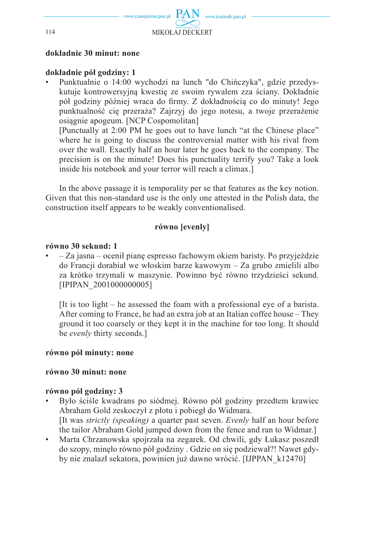

**dokładnie 30 minut: none**

### **dokładnie pół godziny: 1**

• Punktualnie o 14:00 wychodzi na lunch "do Chińczyka", gdzie przedyskutuje kontrowersyjną kwestię ze swoim rywalem zza ściany. Dokładnie pół godziny później wraca do firmy. Z dokładnością co do minuty! Jego punktualność cię przeraża? Zajrzyj do jego notesu, a twoje przerażenie osiągnie apogeum. [NCP Cospomolitan]

 [Punctually at 2:00 PM he goes out to have lunch "at the Chinese place" where he is going to discuss the controversial matter with his rival from over the wall. Exactly half an hour later he goes back to the company. The precision is on the minute! Does his punctuality terrify you? Take a look inside his notebook and your terror will reach a climax.]

In the above passage it is temporality per se that features as the key notion. Given that this non-standard use is the only one attested in the Polish data, the construction itself appears to be weakly conventionalised.

### **równo [evenly]**

#### **równo 30 sekund: 1**

• – Za jasna – ocenił pianę espresso fachowym okiem baristy. Po przyjeździe do Francji dorabiał we włoskim barze kawowym – Za grubo zmielili albo za krótko trzymali w maszynie. Powinno być równo trzydzieści sekund. [IPIPAN\_2001000000005]

 [It is too light – he assessed the foam with a professional eye of a barista. After coming to France, he had an extra job at an Italian coffee house – They ground it too coarsely or they kept it in the machine for too long. It should be *evenly* thirty seconds.]

### **równo pół minuty: none**

### **równo 30 minut: none**

### **równo pół godziny: 3**

- Było ściśle kwadrans po siódmej. Równo pół godziny przedtem krawiec Abraham Gold zeskoczył z płotu i pobiegł do Widmara. [It was *strictly (speaking)* a quarter past seven. *Evenly* half an hour before the tailor Abraham Gold jumped down from the fence and ran to Widmar.]
- Marta Chrzanowska spojrzała na zegarek. Od chwili, gdy Łukasz poszedł do szopy, minęło równo pół godziny . Gdzie on się podziewał?! Nawet gdyby nie znalazł sekatora, powinien już dawno wrócić. [IJPPAN\_k12470]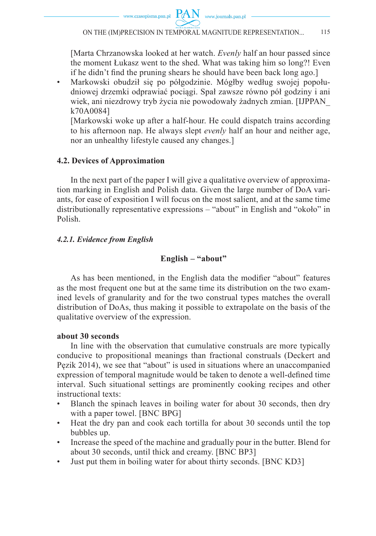www.czasopisma.pan.pl  $PAN$  www.journals.pan.pl

 [Marta Chrzanowska looked at her watch. *Evenly* half an hour passed since the moment Łukasz went to the shed. What was taking him so long?! Even if he didn't find the pruning shears he should have been back long ago.

• Markowski obudził się po półgodzinie. Mógłby według swojej popołudniowej drzemki odprawiać pociągi. Spał zawsze równo pół godziny i ani wiek, ani niezdrowy tryb życia nie powodowały żadnych zmian. [IJPPAN\_ k70A0084]

 [Markowski woke up after a half-hour. He could dispatch trains according to his afternoon nap. He always slept *evenly* half an hour and neither age, nor an unhealthy lifestyle caused any changes.]

#### **4.2. Devices of Approximation**

In the next part of the paper I will give a qualitative overview of approximation marking in English and Polish data. Given the large number of DoA variants, for ease of exposition I will focus on the most salient, and at the same time distributionally representative expressions – "about" in English and "około" in Polish.

#### *4.2.1. Evidence from English*

### **English – "about"**

As has been mentioned, in the English data the modifier "about" features as the most frequent one but at the same time its distribution on the two examined levels of granularity and for the two construal types matches the overall distribution of DoAs, thus making it possible to extrapolate on the basis of the qualitative overview of the expression.

#### **about 30 seconds**

In line with the observation that cumulative construals are more typically conducive to propositional meanings than fractional construals (Deckert and Pęzik 2014), we see that "about" is used in situations where an unaccompanied expression of temporal magnitude would be taken to denote a well-defined time interval. Such situational settings are prominently cooking recipes and other instructional texts:

- Blanch the spinach leaves in boiling water for about 30 seconds, then dry with a paper towel. [BNC BPG]
- Heat the dry pan and cook each tortilla for about 30 seconds until the top bubbles up.
- Increase the speed of the machine and gradually pour in the butter. Blend for about 30 seconds, until thick and creamy. [BNC BP3]
- Just put them in boiling water for about thirty seconds. [BNC KD3]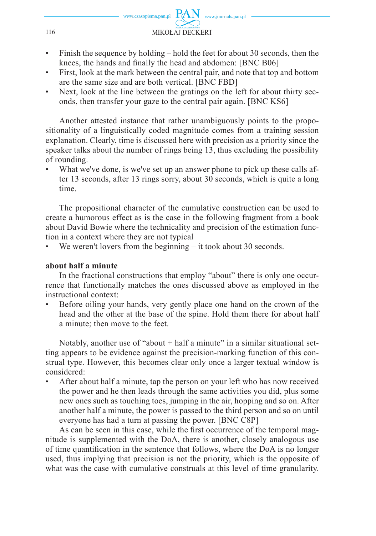

- Finish the sequence by holding hold the feet for about 30 seconds, then the knees, the hands and finally the head and abdomen: [BNC B06]
- First, look at the mark between the central pair, and note that top and bottom are the same size and are both vertical. [BNC FBD]
- Next, look at the line between the gratings on the left for about thirty seconds, then transfer your gaze to the central pair again. [BNC KS6]

Another attested instance that rather unambiguously points to the propositionality of a linguistically coded magnitude comes from a training session explanation. Clearly, time is discussed here with precision as a priority since the speaker talks about the number of rings being 13, thus excluding the possibility of rounding.

What we've done, is we've set up an answer phone to pick up these calls after 13 seconds, after 13 rings sorry, about 30 seconds, which is quite a long time.

The propositional character of the cumulative construction can be used to create a humorous effect as is the case in the following fragment from a book about David Bowie where the technicality and precision of the estimation function in a context where they are not typical

We weren't lovers from the beginning  $-$  it took about 30 seconds.

#### **about half a minute**

In the fractional constructions that employ "about" there is only one occurrence that functionally matches the ones discussed above as employed in the instructional context:

• Before oiling your hands, very gently place one hand on the crown of the head and the other at the base of the spine. Hold them there for about half a minute; then move to the feet.

Notably, another use of "about + half a minute" in a similar situational setting appears to be evidence against the precision-marking function of this construal type. However, this becomes clear only once a larger textual window is considered:

• After about half a minute, tap the person on your left who has now received the power and he then leads through the same activities you did, plus some new ones such as touching toes, jumping in the air, hopping and so on. After another half a minute, the power is passed to the third person and so on until everyone has had a turn at passing the power. [BNC C8P]

As can be seen in this case, while the first occurrence of the temporal magnitude is supplemented with the DoA, there is another, closely analogous use of time quantification in the sentence that follows, where the DoA is no longer used, thus implying that precision is not the priority, which is the opposite of what was the case with cumulative construals at this level of time granularity.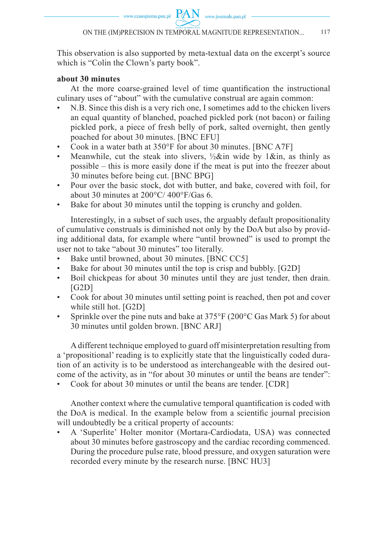This observation is also supported by meta-textual data on the excerpt's source which is "Colin the Clown's party book".

## **about 30 minutes**

At the more coarse-grained level of time quantification the instructional culinary uses of "about" with the cumulative construal are again common:

- N.B. Since this dish is a very rich one, I sometimes add to the chicken livers an equal quantity of blanched, poached pickled pork (not bacon) or failing pickled pork, a piece of fresh belly of pork, salted overnight, then gently poached for about 30 minutes. [BNC EFU]
- Cook in a water bath at 350°F for about 30 minutes. [BNC A7F]
- Meanwhile, cut the steak into slivers,  $\frac{1}{2}$ &in wide by 1&in, as thinly as possible – this is more easily done if the meat is put into the freezer about 30 minutes before being cut. [BNC BPG]
- Pour over the basic stock, dot with butter, and bake, covered with foil, for about 30 minutes at 200°C/ 400°F/Gas 6.
- Bake for about 30 minutes until the topping is crunchy and golden.

Interestingly, in a subset of such uses, the arguably default propositionality of cumulative construals is diminished not only by the DoA but also by providing additional data, for example where "until browned" is used to prompt the user not to take "about 30 minutes" too literally.

- Bake until browned, about 30 minutes. [BNC CC5]
- Bake for about 30 minutes until the top is crisp and bubbly. [G2D]
- Boil chickpeas for about 30 minutes until they are just tender, then drain.  $[G2D]$
- Cook for about 30 minutes until setting point is reached, then pot and cover while still hot. [G2D]
- Sprinkle over the pine nuts and bake at  $375^{\circ}F(200^{\circ}C)$  Gas Mark 5) for about 30 minutes until golden brown. [BNC ARJ]

A different technique employed to guard off misinterpretation resulting from a 'propositional' reading is to explicitly state that the linguistically coded duration of an activity is to be understood as interchangeable with the desired outcome of the activity, as in "for about 30 minutes or until the beans are tender":

• Cook for about 30 minutes or until the beans are tender. [CDR]

Another context where the cumulative temporal quantification is coded with the DoA is medical. In the example below from a scientific journal precision will undoubtedly be a critical property of accounts:

• A 'Superlite' Holter monitor (Mortara-Cardiodata, USA) was connected about 30 minutes before gastroscopy and the cardiac recording commenced. During the procedure pulse rate, blood pressure, and oxygen saturation were recorded every minute by the research nurse. [BNC HU3]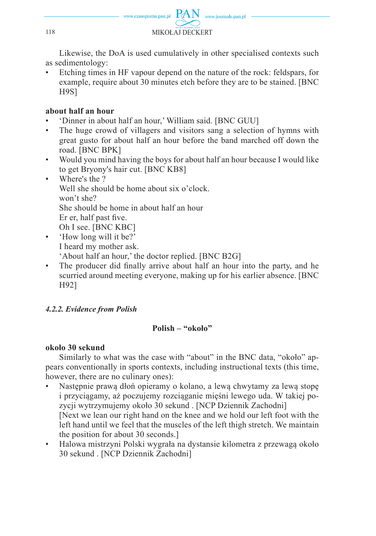

Likewise, the DoA is used cumulatively in other specialised contexts such as sedimentology:

• Etching times in HF vapour depend on the nature of the rock: feldspars, for example, require about 30 minutes etch before they are to be stained. [BNC H9S]

## **about half an hour**

- 'Dinner in about half an hour,' William said. [BNC GUU]
- The huge crowd of villagers and visitors sang a selection of hymns with great gusto for about half an hour before the band marched off down the road. [BNC BPK]
- Would you mind having the boys for about half an hour because I would like to get Bryony's hair cut. [BNC KB8]
- Where's the ? Well she should be home about six o'clock. won't she? She should be home in about half an hour Er er, half past five. Oh I see. [BNC KBC]
- 'How long will it be?' I heard my mother ask. 'About half an hour,' the doctor replied. [BNC B2G]
- The producer did finally arrive about half an hour into the party, and he scurried around meeting everyone, making up for his earlier absence. [BNC H92]

## *4.2.2. Evidence from Polish*

## **Polish – "około"**

## **około 30 sekund**

Similarly to what was the case with "about" in the BNC data, "około" appears conventionally in sports contexts, including instructional texts (this time, however, there are no culinary ones):

- Następnie prawą dłoń opieramy o kolano, a lewą chwytamy za lewą stopę i przyciągamy, aż poczujemy rozciąganie mięśni lewego uda. W takiej pozycji wytrzymujemy około 30 sekund . [NCP Dziennik Zachodni] [Next we lean our right hand on the knee and we hold our left foot with the left hand until we feel that the muscles of the left thigh stretch. We maintain the position for about 30 seconds.]
- Halowa mistrzyni Polski wygrała na dystansie kilometra z przewagą około 30 sekund . [NCP Dziennik Zachodni]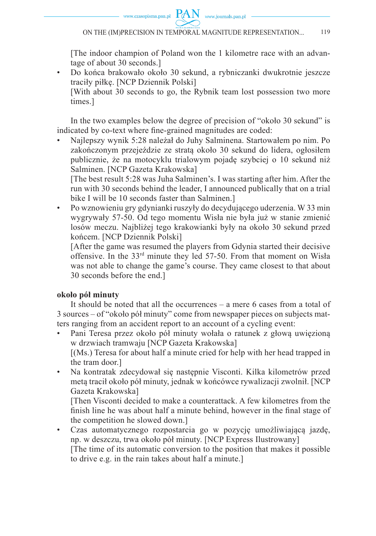

 [The indoor champion of Poland won the 1 kilometre race with an advantage of about 30 seconds.]

• Do końca brakowało około 30 sekund, a rybniczanki dwukrotnie jeszcze traciły piłkę. [NCP Dziennik Polski]

 [With about 30 seconds to go, the Rybnik team lost possession two more times.]

In the two examples below the degree of precision of "około 30 sekund" is indicated by co-text where fine-grained magnitudes are coded:

• Najlepszy wynik 5:28 należał do Juhy Salminena. Startowałem po nim. Po zakończonym przejeździe ze stratą około 30 sekund do lidera, ogłosiłem publicznie, że na motocyklu trialowym pojadę szybciej o 10 sekund niż Salminen. [NCP Gazeta Krakowska]

 [The best result 5:28 was Juha Salminen's. I was starting after him. After the run with 30 seconds behind the leader, I announced publically that on a trial bike I will be 10 seconds faster than Salminen.]

• Po wznowieniu gry gdynianki ruszyły do decydującego uderzenia. W 33 min wygrywały 57-50. Od tego momentu Wisła nie była już w stanie zmienić losów meczu. Najbliżej tego krakowianki były na około 30 sekund przed końcem. [NCP Dziennik Polski]

 [After the game was resumed the players from Gdynia started their decisive offensive. In the 33rd minute they led 57-50. From that moment on Wisła was not able to change the game's course. They came closest to that about 30 seconds before the end.]

### **około pół minuty**

It should be noted that all the occurrences – a mere 6 cases from a total of 3 sources – of "około pół minuty" come from newspaper pieces on subjects matters ranging from an accident report to an account of a cycling event:

- Pani Teresa przez około pół minuty wołała o ratunek z głową uwięzioną w drzwiach tramwaju [NCP Gazeta Krakowska] [(Ms.) Teresa for about half a minute cried for help with her head trapped in the tram door.]
- Na kontratak zdecydował się następnie Visconti. Kilka kilometrów przed metą tracił około pół minuty, jednak w końcówce rywalizacji zwolnił. [NCP Gazeta Krakowska]

 [Then Visconti decided to make a counterattack. A few kilometres from the finish line he was about half a minute behind, however in the final stage of the competition he slowed down.]

• Czas automatycznego rozpostarcia go w pozycję umożliwiającą jazdę, np. w deszczu, trwa około pół minuty. [NCP Express Ilustrowany] [The time of its automatic conversion to the position that makes it possible to drive e.g. in the rain takes about half a minute.]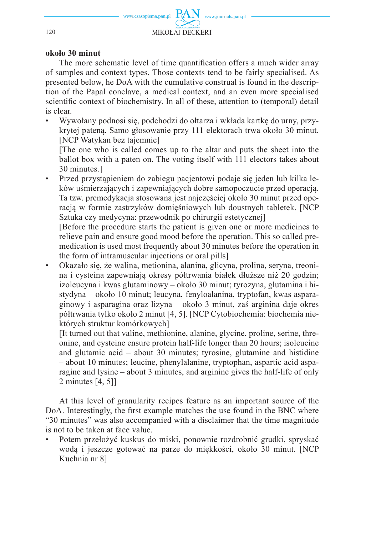#### **około 30 minut**

The more schematic level of time quantification offers a much wider array of samples and context types. Those contexts tend to be fairly specialised. As presented below, he DoA with the cumulative construal is found in the description of the Papal conclave, a medical context, and an even more specialised scientific context of biochemistry. In all of these, attention to (temporal) detail is clear.

• Wywołany podnosi się, podchodzi do ołtarza i wkłada kartkę do urny, przykrytej pateną. Samo głosowanie przy 111 elektorach trwa około 30 minut. [NCP Watykan bez tajemnic]

 [The one who is called comes up to the altar and puts the sheet into the ballot box with a paten on. The voting itself with 111 electors takes about 30 minutes.]

• Przed przystąpieniem do zabiegu pacjentowi podaje się jeden lub kilka leków uśmierzających i zapewniających dobre samopoczucie przed operacją. Ta tzw. premedykacja stosowana jest najczęściej około 30 minut przed operacją w formie zastrzyków domięśniowych lub doustnych tabletek. [NCP Sztuka czy medycyna: przewodnik po chirurgii estetycznej]

 [Before the procedure starts the patient is given one or more medicines to relieve pain and ensure good mood before the operation. This so called premedication is used most frequently about 30 minutes before the operation in the form of intramuscular injections or oral pills]

• Okazało się, że walina, metionina, alanina, glicyna, prolina, seryna, treonina i cysteina zapewniają okresy półtrwania białek dłuższe niż 20 godzin; izoleucyna i kwas glutaminowy – około 30 minut; tyrozyna, glutamina i histydyna – około 10 minut; leucyna, fenyloalanina, tryptofan, kwas asparaginowy i asparagina oraz lizyna – około 3 minut, zaś arginina daje okres półtrwania tylko około 2 minut [4, 5]. [NCP Cytobiochemia: biochemia niektórych struktur komórkowych]

 [It turned out that valine, methionine, alanine, glycine, proline, serine, threonine, and cysteine ensure protein half-life longer than 20 hours; isoleucine and glutamic acid – about 30 minutes; tyrosine, glutamine and histidine – about 10 minutes; leucine, phenylalanine, tryptophan, aspartic acid asparagine and lysine – about 3 minutes, and arginine gives the half-life of only 2 minutes [4, 5]]

At this level of granularity recipes feature as an important source of the DoA. Interestingly, the first example matches the use found in the BNC where "30 minutes" was also accompanied with a disclaimer that the time magnitude is not to be taken at face value.

• Potem przełożyć kuskus do miski, ponownie rozdrobnić grudki, spryskać wodą i jeszcze gotować na parze do miękkości, około 30 minut. [NCP Kuchnia nr 8]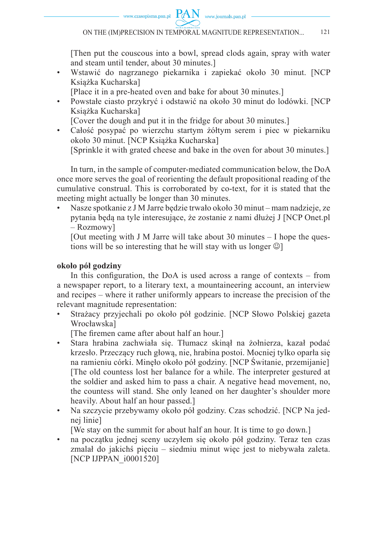

 [Then put the couscous into a bowl, spread clods again, spray with water and steam until tender, about 30 minutes.]

- Wstawić do nagrzanego piekarnika i zapiekać około 30 minut. [NCP Książka Kucharska]
	- [Place it in a pre-heated oven and bake for about 30 minutes.]
- Powstałe ciasto przykryć i odstawić na około 30 minut do lodówki. [NCP Książka Kucharska]
	- [Cover the dough and put it in the fridge for about 30 minutes.]
- Całość posypać po wierzchu startym żółtym serem i piec w piekarniku około 30 minut. [NCP Książka Kucharska]

[Sprinkle it with grated cheese and bake in the oven for about 30 minutes.]

In turn, in the sample of computer-mediated communication below, the DoA once more serves the goal of reorienting the default propositional reading of the cumulative construal. This is corroborated by co-text, for it is stated that the meeting might actually be longer than 30 minutes.

• Nasze spotkanie z J M Jarre będzie trwało około 30 minut – mam nadzieje, ze pytania będą na tyle interesujące, że zostanie z nami dłużej J [NCP Onet.pl – Rozmowy]

[Out meeting with J M Jarre will take about 30 minutes  $-$  I hope the questions will be so interesting that he will stay with us longer  $\odot$ ]

## **około pół godziny**

In this configuration, the DoA is used across a range of contexts  $-$  from a newspaper report, to a literary text, a mountaineering account, an interview and recipes – where it rather uniformly appears to increase the precision of the relevant magnitude representation:

• Strażacy przyjechali po około pół godzinie. [NCP Słowo Polskiej gazeta Wrocławska]

[The firemen came after about half an hour.]

- Stara hrabina zachwiała się. Tłumacz skinął na żołnierza, kazał podać krzesło. Przeczący ruch głową, nie, hrabina postoi. Mocniej tylko oparła się na ramieniu córki. Minęło około pół godziny. [NCP Świtanie, przemijanie] [The old countess lost her balance for a while. The interpreter gestured at the soldier and asked him to pass a chair. A negative head movement, no, the countess will stand. She only leaned on her daughter's shoulder more heavily. About half an hour passed.]
- Na szczycie przebywamy około pół godziny. Czas schodzić. [NCP Na jednej linie]
	- [We stay on the summit for about half an hour. It is time to go down.]
- na początku jednej sceny uczyłem się około pół godziny. Teraz ten czas zmalał do jakichś pięciu – siedmiu minut więc jest to niebywała zaleta. [NCP IJPPAN\_i0001520]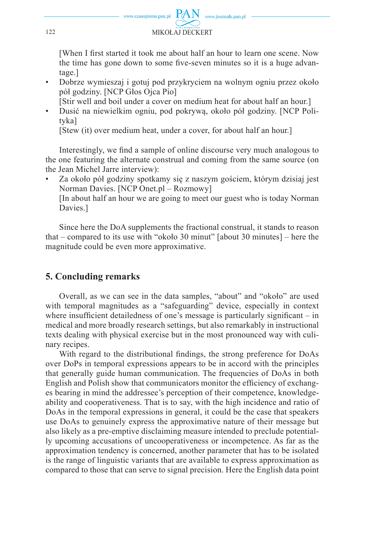

[When I first started it took me about half an hour to learn one scene. Now the time has gone down to some five-seven minutes so it is a huge advantage.]

• Dobrze wymieszaj i gotuj pod przykryciem na wolnym ogniu przez około pół godziny. [NCP Głos Ojca Pio]

[Stir well and boil under a cover on medium heat for about half an hour.]

• Dusić na niewielkim ogniu, pod pokrywą, około pół godziny. [NCP Polityka]

[Stew (it) over medium heat, under a cover, for about half an hour.]

Interestingly, we find a sample of online discourse very much analogous to the one featuring the alternate construal and coming from the same source (on the Jean Michel Jarre interview):

• Za około pół godziny spotkamy się z naszym gościem, którym dzisiaj jest Norman Davies. [NCP Onet.pl – Rozmowy]

 [In about half an hour we are going to meet our guest who is today Norman Davies.]

Since here the DoA supplements the fractional construal, it stands to reason that – compared to its use with "około 30 minut" [about 30 minutes] – here the magnitude could be even more approximative.

# **5. Concluding remarks**

Overall, as we can see in the data samples, "about" and "około" are used with temporal magnitudes as a "safeguarding" device, especially in context where insufficient detailedness of one's message is particularly significant  $-$  in medical and more broadly research settings, but also remarkably in instructional texts dealing with physical exercise but in the most pronounced way with culinary recipes.

With regard to the distributional findings, the strong preference for DoAs over DoPs in temporal expressions appears to be in accord with the principles that generally guide human communication. The frequencies of DoAs in both English and Polish show that communicators monitor the efficiency of exchanges bearing in mind the addressee's perception of their competence, knowledgeability and cooperativeness. That is to say, with the high incidence and ratio of DoAs in the temporal expressions in general, it could be the case that speakers use DoAs to genuinely express the approximative nature of their message but also likely as a pre-emptive disclaiming measure intended to preclude potentially upcoming accusations of uncooperativeness or incompetence. As far as the approximation tendency is concerned, another parameter that has to be isolated is the range of linguistic variants that are available to express approximation as compared to those that can serve to signal precision. Here the English data point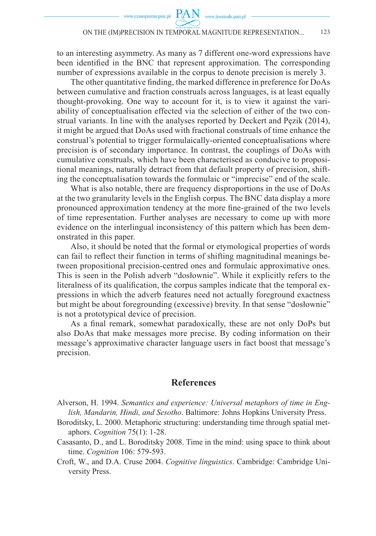to an interesting asymmetry. As many as 7 different one-word expressions have been identified in the BNC that represent approximation. The corresponding number of expressions available in the corpus to denote precision is merely 3.

The other quantitative finding, the marked difference in preference for DoAs between cumulative and fraction construals across languages, is at least equally thought-provoking. One way to account for it, is to view it against the variability of conceptualisation effected via the selection of either of the two construal variants. In line with the analyses reported by Deckert and Pęzik (2014), it might be argued that DoAs used with fractional construals of time enhance the construal's potential to trigger formulaically-oriented conceptualisations where precision is of secondary importance. In contrast, the couplings of DoAs with cumulative construals, which have been characterised as conducive to propositional meanings, naturally detract from that default property of precision, shifting the conceptualisation towards the formulaic or "imprecise" end of the scale.

What is also notable, there are frequency disproportions in the use of DoAs at the two granularity levels in the English corpus. The BNC data display a more pronounced approximation tendency at the more fine-grained of the two levels of time representation. Further analyses are necessary to come up with more evidence on the interlingual inconsistency of this pattern which has been demonstrated in this paper.

Also, it should be noted that the formal or etymological properties of words can fail to reflect their function in terms of shifting magnitudinal meanings between propositional precision-centred ones and formulaic approximative ones. This is seen in the Polish adverb "dosłownie". While it explicitly refers to the literalness of its qualification, the corpus samples indicate that the temporal expressions in which the adverb features need not actually foreground exactness but might be about foregrounding (excessive) brevity. In that sense "dosłownie" is not a prototypical device of precision.

As a final remark, somewhat paradoxically, these are not only DoPs but also DoAs that make messages more precise. By coding information on their message's approximative character language users in fact boost that message's precision.

#### **References**

Alverson, H. 1994. *Semantics and experience: Universal metaphors of time in English, Mandarin, Hindi, and Sesotho*. Baltimore: Johns Hopkins University Press.

- Boroditsky, L. 2000. Metaphoric structuring: understanding time through spatial metaphors. *Cognition* 75(1): 1-28.
- Casasanto, D., and L. Boroditsky 2008. Time in the mind: using space to think about time. *Cognition* 106: 579-593.

Croft, W., and D.A. Cruse 2004. *Cognitive linguistics*. Cambridge: Cambridge University Press.